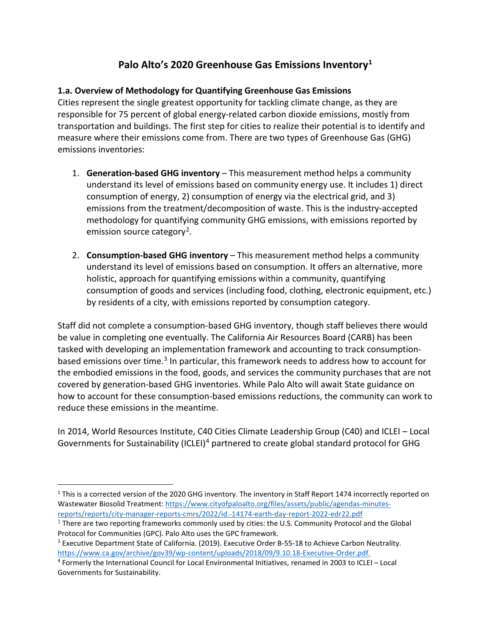# **Palo Alto's 2020 Greenhouse Gas Emissions Inventory[1](#page-0-0)**

## **1.a. Overview of Methodology for Quantifying Greenhouse Gas Emissions**

Cities represent the single greatest opportunity for tackling climate change, as they are responsible for 75 percent of global energy-related carbon dioxide emissions, mostly from transportation and buildings. The first step for cities to realize their potential is to identify and measure where their emissions come from. There are two types of Greenhouse Gas (GHG) emissions inventories:

- 1. **Generation-based GHG inventory** This measurement method helps a community understand its level of emissions based on community energy use. It includes 1) direct consumption of energy, 2) consumption of energy via the electrical grid, and 3) emissions from the treatment/decomposition of waste. This is the industry-accepted methodology for quantifying community GHG emissions, with emissions reported by emission source category<sup>[2](#page-0-1)</sup>.
- 2. **Consumption-based GHG inventory** This measurement method helps a community understand its level of emissions based on consumption. It offers an alternative, more holistic, approach for quantifying emissions within a community, quantifying consumption of goods and services (including food, clothing, electronic equipment, etc.) by residents of a city, with emissions reported by consumption category.

Staff did not complete a consumption-based GHG inventory, though staff believes there would be value in completing one eventually. The California Air Resources Board (CARB) has been tasked with developing an implementation framework and accounting to track consumption-based emissions over time.<sup>[3](#page-0-2)</sup> In particular, this framework needs to address how to account for the embodied emissions in the food, goods, and services the community purchases that are not covered by generation-based GHG inventories. While Palo Alto will await State guidance on how to account for these consumption-based emissions reductions, the community can work to reduce these emissions in the meantime.

In 2014, World Resources Institute, C40 Cities Climate Leadership Group (C40) and ICLEI – Local Governments for Sustainability (ICLEI)<sup>[4](#page-0-3)</sup> partnered to create global standard protocol for GHG

<span id="page-0-0"></span><sup>&</sup>lt;sup>1</sup> This is a corrected version of the 2020 GHG inventory. The inventory in Staff Report 1474 incorrectly reported on Wastewater Biosolid Treatment[: https://www.cityofpaloalto.org/files/assets/public/agendas-minutes](https://www.cityofpaloalto.org/files/assets/public/agendas-minutes-reports/reports/city-manager-reports-cmrs/2022/id.-14174-earth-day-report-2022-edr22.pdf)[reports/reports/city-manager-reports-cmrs/2022/id.-14174-earth-day-report-2022-edr22.pdf](https://www.cityofpaloalto.org/files/assets/public/agendas-minutes-reports/reports/city-manager-reports-cmrs/2022/id.-14174-earth-day-report-2022-edr22.pdf)

<span id="page-0-1"></span><sup>&</sup>lt;sup>2</sup> There are two reporting frameworks commonly used by cities: the U.S. Community Protocol and the Global Protocol for Communities (GPC). Palo Alto uses the GPC framework.

<span id="page-0-2"></span><sup>&</sup>lt;sup>3</sup> Executive Department State of California. (2019). Executive Order B-55-18 to Achieve Carbon Neutrality. [https://www.ca.gov/archive/gov39/wp-content/uploads/2018/09/9.10.18-Executive-Order.pdf.](https://www.ca.gov/archive/gov39/wp-content/uploads/2018/09/9.10.18-Executive-Order.pdf)

<span id="page-0-3"></span><sup>4</sup> Formerly the International Council for Local Environmental Initiatives, renamed in 2003 to ICLEI – Local Governments for Sustainability.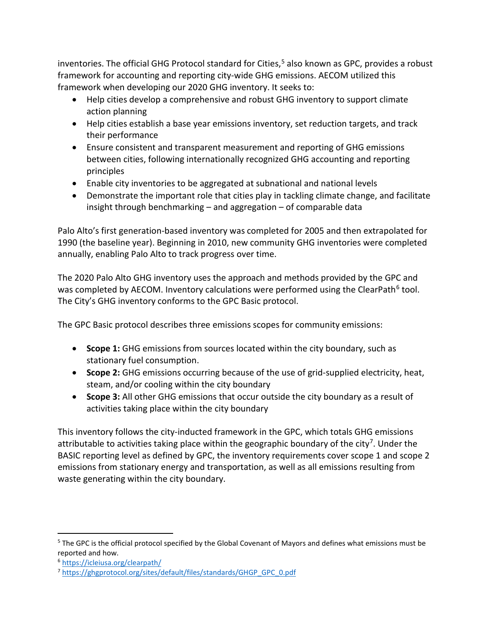inventories. The official GHG Protocol standard for Cities,<sup>[5](#page-1-0)</sup> also known as GPC, provides a robust framework for accounting and reporting city-wide GHG emissions. AECOM utilized this framework when developing our 2020 GHG inventory. It seeks to:

- Help cities develop a comprehensive and robust GHG inventory to support climate action planning
- Help cities establish a base year emissions inventory, set reduction targets, and track their performance
- Ensure consistent and transparent measurement and reporting of GHG emissions between cities, following internationally recognized GHG accounting and reporting principles
- Enable city inventories to be aggregated at subnational and national levels
- Demonstrate the important role that cities play in tackling climate change, and facilitate insight through benchmarking – and aggregation – of comparable data

Palo Alto's first generation-based inventory was completed for 2005 and then extrapolated for 1990 (the baseline year). Beginning in 2010, new community GHG inventories were completed annually, enabling Palo Alto to track progress over time.

The 2020 Palo Alto GHG inventory uses the approach and methods provided by the GPC and was completed by AECOM. Inventory calculations were performed using the ClearPath<sup>[6](#page-1-1)</sup> tool. The City's GHG inventory conforms to the GPC Basic protocol.

The GPC Basic protocol describes three emissions scopes for community emissions:

- **Scope 1:** GHG emissions from sources located within the city boundary, such as stationary fuel consumption.
- **Scope 2:** GHG emissions occurring because of the use of grid-supplied electricity, heat, steam, and/or cooling within the city boundary
- **Scope 3:** All other GHG emissions that occur outside the city boundary as a result of activities taking place within the city boundary

This inventory follows the city-inducted framework in the GPC, which totals GHG emissions attributable to activities taking place within the geographic boundary of the city<sup>[7](#page-1-2)</sup>. Under the BASIC reporting level as defined by GPC, the inventory requirements cover scope 1 and scope 2 emissions from stationary energy and transportation, as well as all emissions resulting from waste generating within the city boundary.

<span id="page-1-0"></span><sup>&</sup>lt;sup>5</sup> The GPC is the official protocol specified by the Global Covenant of Mayors and defines what emissions must be reported and how.

<span id="page-1-1"></span><sup>6</sup> <https://icleiusa.org/clearpath/>

<span id="page-1-2"></span><sup>7</sup> [https://ghgprotocol.org/sites/default/files/standards/GHGP\\_GPC\\_0.pdf](https://ghgprotocol.org/sites/default/files/standards/GHGP_GPC_0.pdf)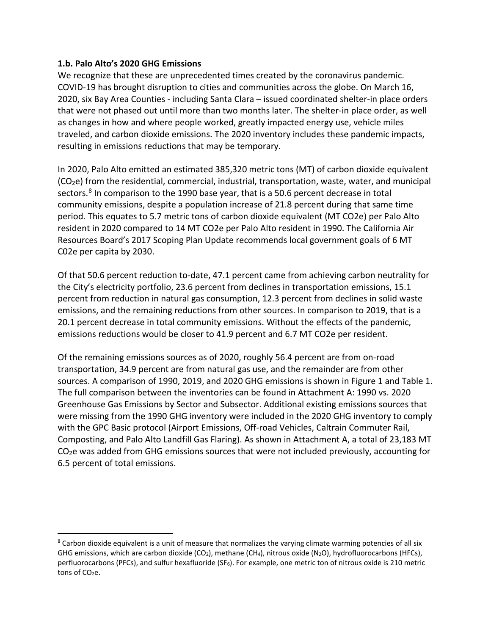#### **1.b. Palo Alto's 2020 GHG Emissions**

We recognize that these are unprecedented times created by the coronavirus pandemic. COVID-19 has brought disruption to cities and communities across the globe. On March 16, 2020, six Bay Area Counties - including Santa Clara – issued coordinated shelter-in place orders that were not phased out until more than two months later. The shelter-in place order, as well as changes in how and where people worked, greatly impacted energy use, vehicle miles traveled, and carbon dioxide emissions. The 2020 inventory includes these pandemic impacts, resulting in emissions reductions that may be temporary.

In 2020, Palo Alto emitted an estimated 385,320 metric tons (MT) of carbon dioxide equivalent (CO2e) from the residential, commercial, industrial, transportation, waste, water, and municipal sectors.[8](#page-2-1) In comparison to the 1990 base year, that is a 50.6 percent decrease in total community emissions, despite a population increase of 21.8 percent during that same time period. This equates to 5.7 metric tons of carbon dioxide equivalent (MT CO2e) per Palo Alto resident in 2020 compared to 14 MT CO2e per Palo Alto resident in 1990. The California Air Resources Board's 2017 Scoping Plan Update recommends local government goals of 6 MT C02e per capita by 2030.

Of that 50.6 percent reduction to-date, 47.1 percent came from achieving carbon neutrality for the City's electricity portfolio, 23.6 percent from declines in transportation emissions, 15.1 percent from reduction in natural gas consumption, 12.3 percent from declines in solid waste emissions, and the remaining reductions from other sources. In comparison to 2019, that is a 20.1 percent decrease in total community emissions. Without the effects of the pandemic, emissions reductions would be closer to 41.9 percent and 6.7 MT CO2e per resident.

Of the remaining emissions sources as of 2020, roughly 56.4 percent are from on-road transportation, 34.9 percent are from natural gas use, and the remainder are from other sources. A comparison of 1990, 2019, and 2020 GHG emissions is shown in [Figure 1](#page-2-0) and [Table 1.](#page-3-0) The full comparison between the inventories can be found in Attachment A: 1990 vs. 2020 Greenhouse Gas Emissions by Sector and Subsector. Additional existing emissions sources that were missing from the 1990 GHG inventory were included in the 2020 GHG inventory to comply with the GPC Basic protocol (Airport Emissions, Off-road Vehicles, Caltrain Commuter Rail, Composting, and Palo Alto Landfill Gas Flaring). As shown in Attachment A, a total of 23,183 MT CO2e was added from GHG emissions sources that were not included previously, accounting for 6.5 percent of total emissions.

<span id="page-2-1"></span><span id="page-2-0"></span> $8$  Carbon dioxide equivalent is a unit of measure that normalizes the varying climate warming potencies of all six GHG emissions, which are carbon dioxide (CO<sub>2</sub>), methane (CH<sub>4</sub>), nitrous oxide (N<sub>2</sub>O), hydrofluorocarbons (HFCs), perfluorocarbons (PFCs), and sulfur hexafluoride (SF<sub>6</sub>). For example, one metric ton of nitrous oxide is 210 metric tons of CO<sub>2</sub>e.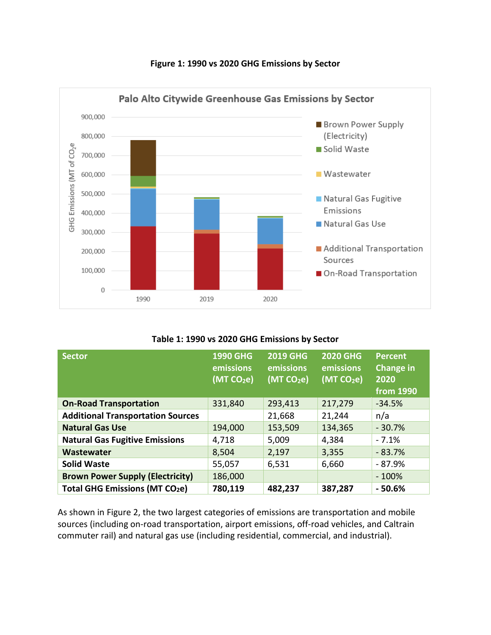

#### **Figure 1: 1990 vs 2020 GHG Emissions by Sector**

#### **Table 1: 1990 vs 2020 GHG Emissions by Sector**

<span id="page-3-0"></span>

| <b>Sector</b>                            | <b>1990 GHG</b><br>emissions<br>(MT CO <sub>2</sub> e) | <b>2019 GHG</b><br>emissions<br>(MT CO <sub>2</sub> e) | <b>2020 GHG</b><br>emissions<br>(MT CO <sub>2</sub> e) | <b>Percent</b><br><b>Change in</b><br>2020<br>from 1990 |
|------------------------------------------|--------------------------------------------------------|--------------------------------------------------------|--------------------------------------------------------|---------------------------------------------------------|
| <b>On-Road Transportation</b>            | 331,840                                                | 293,413                                                | 217,279                                                | $-34.5%$                                                |
| <b>Additional Transportation Sources</b> |                                                        | 21,668                                                 | 21,244                                                 | n/a                                                     |
| <b>Natural Gas Use</b>                   | 194,000                                                | 153,509                                                | 134,365                                                | $-30.7%$                                                |
| <b>Natural Gas Fugitive Emissions</b>    | 4,718                                                  | 5,009                                                  | 4,384                                                  | $-7.1%$                                                 |
| <b>Wastewater</b>                        | 8,504                                                  | 2,197                                                  | 3,355                                                  | $-83.7%$                                                |
| <b>Solid Waste</b>                       | 55,057                                                 | 6,531                                                  | 6,660                                                  | - 87.9%                                                 |
| <b>Brown Power Supply (Electricity)</b>  | 186,000                                                |                                                        |                                                        | $-100%$                                                 |
| <b>Total GHG Emissions (MT CO2e)</b>     | 780,119                                                | 482,237                                                | 387,287                                                | $-50.6%$                                                |

As shown in [Figure 2,](#page-4-0) the two largest categories of emissions are transportation and mobile sources (including on-road transportation, airport emissions, off-road vehicles, and Caltrain commuter rail) and natural gas use (including residential, commercial, and industrial).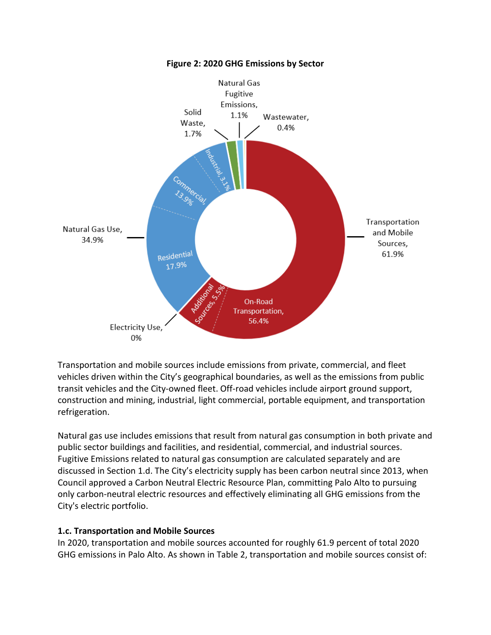<span id="page-4-0"></span>

**Figure 2: 2020 GHG Emissions by Sector**

Transportation and mobile sources include emissions from private, commercial, and fleet vehicles driven within the City's geographical boundaries, as well as the emissions from public transit vehicles and the City-owned fleet. Off-road vehicles include airport ground support, construction and mining, industrial, light commercial, portable equipment, and transportation refrigeration.

Natural gas use includes emissions that result from natural gas consumption in both private and public sector buildings and facilities, and residential, commercial, and industrial sources. Fugitive Emissions related to natural gas consumption are calculated separately and are discussed in Section 1.d. The City's electricity supply has been carbon neutral since 2013, when Council approved a Carbon Neutral Electric Resource Plan, committing Palo Alto to pursuing only carbon-neutral electric resources and effectively eliminating all GHG emissions from the City's electric portfolio.

### **1.c. Transportation and Mobile Sources**

In 2020, transportation and mobile sources accounted for roughly 61.9 percent of total 2020 GHG emissions in Palo Alto. As shown in [Table 2,](#page-5-0) transportation and mobile sources consist of: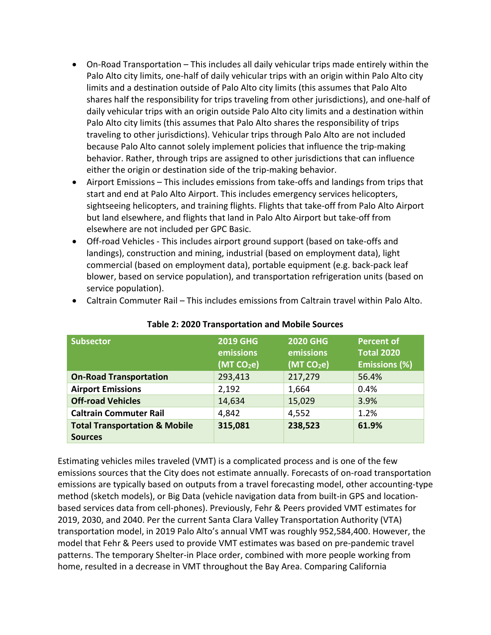- On-Road Transportation This includes all daily vehicular trips made entirely within the Palo Alto city limits, one-half of daily vehicular trips with an origin within Palo Alto city limits and a destination outside of Palo Alto city limits (this assumes that Palo Alto shares half the responsibility for trips traveling from other jurisdictions), and one-half of daily vehicular trips with an origin outside Palo Alto city limits and a destination within Palo Alto city limits (this assumes that Palo Alto shares the responsibility of trips traveling to other jurisdictions). Vehicular trips through Palo Alto are not included because Palo Alto cannot solely implement policies that influence the trip-making behavior. Rather, through trips are assigned to other jurisdictions that can influence either the origin or destination side of the trip-making behavior.
- Airport Emissions This includes emissions from take-offs and landings from trips that start and end at Palo Alto Airport. This includes emergency services helicopters, sightseeing helicopters, and training flights. Flights that take-off from Palo Alto Airport but land elsewhere, and flights that land in Palo Alto Airport but take-off from elsewhere are not included per GPC Basic.
- Off-road Vehicles This includes airport ground support (based on take-offs and landings), construction and mining, industrial (based on employment data), light commercial (based on employment data), portable equipment (e.g. back-pack leaf blower, based on service population), and transportation refrigeration units (based on service population).

<span id="page-5-0"></span>

| <b>Subsector</b>                                           | <b>2019 GHG</b><br>emissions<br>(MT CO <sub>2</sub> e) | <b>2020 GHG</b><br>emissions<br>(MTCO <sub>2</sub> e) | <b>Percent of</b><br><b>Total 2020</b><br><b>Emissions (%)</b> |
|------------------------------------------------------------|--------------------------------------------------------|-------------------------------------------------------|----------------------------------------------------------------|
| <b>On-Road Transportation</b>                              | 293,413                                                | 217,279                                               | 56.4%                                                          |
| <b>Airport Emissions</b>                                   | 2,192                                                  | 1,664                                                 | 0.4%                                                           |
| <b>Off-road Vehicles</b>                                   | 14,634                                                 | 15,029                                                | 3.9%                                                           |
| <b>Caltrain Commuter Rail</b>                              | 4,842                                                  | 4,552                                                 | 1.2%                                                           |
| <b>Total Transportation &amp; Mobile</b><br><b>Sources</b> | 315,081                                                | 238,523                                               | 61.9%                                                          |
|                                                            |                                                        |                                                       |                                                                |

• Caltrain Commuter Rail – This includes emissions from Caltrain travel within Palo Alto.

**Table 2: 2020 Transportation and Mobile Sources**

**Sources** Estimating vehicles miles traveled (VMT) is a complicated process and is one of the few emissions sources that the City does not estimate annually. Forecasts of on-road transportation emissions are typically based on outputs from a travel forecasting model, other accounting-type method (sketch models), or Big Data (vehicle navigation data from built-in GPS and locationbased services data from cell-phones). Previously, Fehr & Peers provided VMT estimates for 2019, 2030, and 2040. Per the current Santa Clara Valley Transportation Authority (VTA) transportation model, in 2019 Palo Alto's annual VMT was roughly 952,584,400. However, the model that Fehr & Peers used to provide VMT estimates was based on pre-pandemic travel patterns. The temporary Shelter-in Place order, combined with more people working from

home, resulted in a decrease in VMT throughout the Bay Area. Comparing California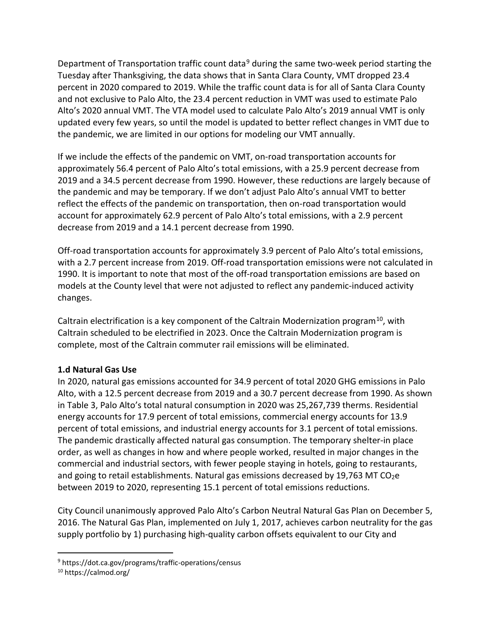Department of Transportation traffic count data<sup>[9](#page-6-0)</sup> during the same two-week period starting the Tuesday after Thanksgiving, the data shows that in Santa Clara County, VMT dropped 23.4 percent in 2020 compared to 2019. While the traffic count data is for all of Santa Clara County and not exclusive to Palo Alto, the 23.4 percent reduction in VMT was used to estimate Palo Alto's 2020 annual VMT. The VTA model used to calculate Palo Alto's 2019 annual VMT is only updated every few years, so until the model is updated to better reflect changes in VMT due to the pandemic, we are limited in our options for modeling our VMT annually.

If we include the effects of the pandemic on VMT, on-road transportation accounts for approximately 56.4 percent of Palo Alto's total emissions, with a 25.9 percent decrease from 2019 and a 34.5 percent decrease from 1990. However, these reductions are largely because of the pandemic and may be temporary. If we don't adjust Palo Alto's annual VMT to better reflect the effects of the pandemic on transportation, then on-road transportation would account for approximately 62.9 percent of Palo Alto's total emissions, with a 2.9 percent decrease from 2019 and a 14.1 percent decrease from 1990.

Off-road transportation accounts for approximately 3.9 percent of Palo Alto's total emissions, with a 2.7 percent increase from 2019. Off-road transportation emissions were not calculated in 1990. It is important to note that most of the off-road transportation emissions are based on models at the County level that were not adjusted to reflect any pandemic-induced activity changes.

Caltrain electrification is a key component of the Caltrain Modernization program<sup>10</sup>, with Caltrain scheduled to be electrified in 2023. Once the Caltrain Modernization program is complete, most of the Caltrain commuter rail emissions will be eliminated.

### **1.d Natural Gas Use**

In 2020, natural gas emissions accounted for 34.9 percent of total 2020 GHG emissions in Palo Alto, with a 12.5 percent decrease from 2019 and a 30.7 percent decrease from 1990. As shown in [Table 3,](#page-7-0) Palo Alto's total natural consumption in 2020 was 25,267,739 therms. Residential energy accounts for 17.9 percent of total emissions, commercial energy accounts for 13.9 percent of total emissions, and industrial energy accounts for 3.1 percent of total emissions. The pandemic drastically affected natural gas consumption. The temporary shelter-in place order, as well as changes in how and where people worked, resulted in major changes in the commercial and industrial sectors, with fewer people staying in hotels, going to restaurants, and going to retail establishments. Natural gas emissions decreased by 19,763 MT CO<sub>2</sub>e between 2019 to 2020, representing 15.1 percent of total emissions reductions.

City Council unanimously approved Palo Alto's Carbon Neutral Natural Gas Plan on December 5, 2016. The Natural Gas Plan, implemented on July 1, 2017, achieves carbon neutrality for the gas supply portfolio by 1) purchasing high-quality carbon offsets equivalent to our City and

<span id="page-6-0"></span><sup>9</sup> https://dot.ca.gov/programs/traffic-operations/census

<span id="page-6-1"></span><sup>10</sup> https://calmod.org/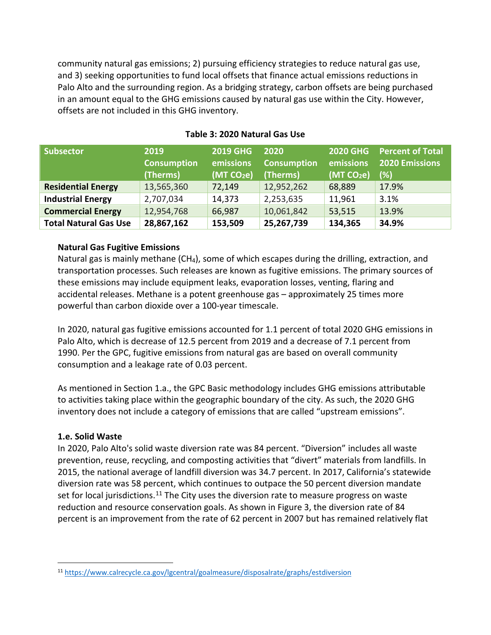community natural gas emissions; 2) pursuing efficiency strategies to reduce natural gas use, and 3) seeking opportunities to fund local offsets that finance actual emissions reductions in Palo Alto and the surrounding region. As a bridging strategy, carbon offsets are being purchased in an amount equal to the GHG emissions caused by natural gas use within the City. However, offsets are not included in this GHG inventory.

<span id="page-7-0"></span>

| <b>Subsector</b>             | 2019<br><b>Consumption</b><br>(Therms) | <b>2019 GHG</b><br>emissions<br>(MT CO <sub>2</sub> e) | 2020<br><b>Consumption</b><br>(Therms) | <b>2020 GHG</b><br>emissions<br>(MT CO <sub>2</sub> e) | Percent of Total<br><b>2020 Emissions</b><br>(%) |
|------------------------------|----------------------------------------|--------------------------------------------------------|----------------------------------------|--------------------------------------------------------|--------------------------------------------------|
| <b>Residential Energy</b>    | 13,565,360                             | 72,149                                                 | 12,952,262                             | 68,889                                                 | 17.9%                                            |
| <b>Industrial Energy</b>     | 2,707,034                              | 14,373                                                 | 2,253,635                              | 11,961                                                 | 3.1%                                             |
| <b>Commercial Energy</b>     | 12,954,768                             | 66,987                                                 | 10,061,842                             | 53,515                                                 | 13.9%                                            |
| <b>Total Natural Gas Use</b> | 28,867,162                             | 153,509                                                | 25,267,739                             | 134,365                                                | 34.9%                                            |

### **Table 3: 2020 Natural Gas Use**

#### **Natural Gas Fugitive Emissions**

Natural gas is mainly methane (CH<sub>4</sub>), some of which escapes during the drilling, extraction, and transportation processes. Such releases are known as fugitive emissions. The primary sources of these emissions may include equipment leaks, evaporation losses, venting, flaring and accidental releases. Methane is a potent greenhouse gas – approximately 25 times more powerful than carbon dioxide over a 100-year timescale.

In 2020, natural gas fugitive emissions accounted for 1.1 percent of total 2020 GHG emissions in Palo Alto, which is decrease of 12.5 percent from 2019 and a decrease of 7.1 percent from 1990. Per the GPC, fugitive emissions from natural gas are based on overall community consumption and a leakage rate of 0.03 percent.

As mentioned in Section 1.a., the GPC Basic methodology includes GHG emissions attributable to activities taking place within the geographic boundary of the city. As such, the 2020 GHG inventory does not include a category of emissions that are called "upstream emissions".

#### **1.e. Solid Waste**

In 2020, Palo Alto's solid waste diversion rate was 84 percent. "Diversion" includes all waste prevention, reuse, recycling, and composting activities that "divert" materials from landfills. In 2015, the national average of landfill diversion was 34.7 percent. In 2017, California's statewide diversion rate was 58 percent, which continues to outpace the 50 percent diversion mandate set for local jurisdictions.<sup>[11](#page-7-1)</sup> The City uses the diversion rate to measure progress on waste reduction and resource conservation goals. As shown in [Figure 3,](#page-8-0) the diversion rate of 84 percent is an improvement from the rate of 62 percent in 2007 but has remained relatively flat

<span id="page-7-1"></span><sup>11</sup> <https://www.calrecycle.ca.gov/lgcentral/goalmeasure/disposalrate/graphs/estdiversion>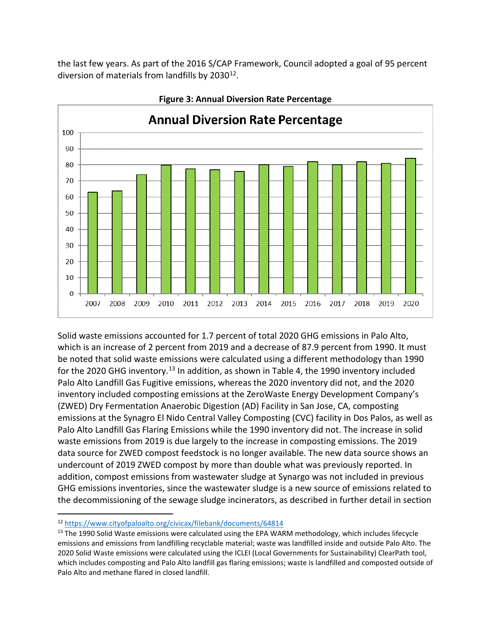the last few years. As part of the 2016 S/CAP Framework, Council adopted a goal of 95 percent diversion of materials from landfills by 2030<sup>12</sup>.

<span id="page-8-0"></span>

**Figure 3: Annual Diversion Rate Percentage**

Solid waste emissions accounted for 1.7 percent of total 2020 GHG emissions in Palo Alto, which is an increase of 2 percent from 2019 and a decrease of 87.9 percent from 1990. It must be noted that solid waste emissions were calculated using a different methodology than 1990 for the 2020 GHG inventory.<sup>13</sup> In addition, as shown in [Table 4,](#page-9-0) the 1990 inventory included Palo Alto Landfill Gas Fugitive emissions, whereas the 2020 inventory did not, and the 2020 inventory included composting emissions at the ZeroWaste Energy Development Company's (ZWED) Dry Fermentation Anaerobic Digestion (AD) Facility in San Jose, CA, composting emissions at the Synagro El Nido Central Valley Composting (CVC) facility in Dos Palos, as well as Palo Alto Landfill Gas Flaring Emissions while the 1990 inventory did not. The increase in solid waste emissions from 2019 is due largely to the increase in composting emissions. The 2019 data source for ZWED compost feedstock is no longer available. The new data source shows an undercount of 2019 ZWED compost by more than double what was previously reported. In addition, compost emissions from wastewater sludge at Synargo was not included in previous GHG emissions inventories, since the wastewater sludge is a new source of emissions related to the decommissioning of the sewage sludge incinerators, as described in further detail in section

<span id="page-8-1"></span><sup>12</sup> <https://www.cityofpaloalto.org/civicax/filebank/documents/64814>

<span id="page-8-2"></span> $13$  The 1990 Solid Waste emissions were calculated using the EPA WARM methodology, which includes lifecycle emissions and emissions from landfilling recyclable material; waste was landfilled inside and outside Palo Alto. The 2020 Solid Waste emissions were calculated using the ICLEI (Local Governments for Sustainability) ClearPath tool, which includes composting and Palo Alto landfill gas flaring emissions; waste is landfilled and composted outside of Palo Alto and methane flared in closed landfill.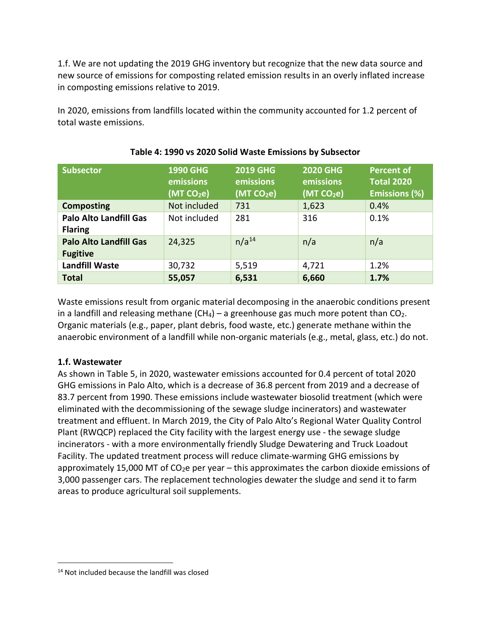1.f. We are not updating the 2019 GHG inventory but recognize that the new data source and new source of emissions for composting related emission results in an overly inflated increase in composting emissions relative to 2019.

<span id="page-9-0"></span>In 2020, emissions from landfills located within the community accounted for 1.2 percent of total waste emissions.

| <b>Subsector</b>                                 | <b>1990 GHG</b><br>emissions<br>(MT CO <sub>2</sub> e) | <b>2019 GHG</b><br>emissions<br>(MT CO <sub>2</sub> e) | 2020 GHG<br>emissions<br>(MT CO <sub>2</sub> e) | <b>Percent of</b><br><b>Total 2020</b><br><b>Emissions (%)</b> |
|--------------------------------------------------|--------------------------------------------------------|--------------------------------------------------------|-------------------------------------------------|----------------------------------------------------------------|
| <b>Composting</b>                                | Not included                                           | 731                                                    | 1,623                                           | 0.4%                                                           |
| <b>Palo Alto Landfill Gas</b><br><b>Flaring</b>  | Not included                                           | 281                                                    | 316                                             | 0.1%                                                           |
| <b>Palo Alto Landfill Gas</b><br><b>Fugitive</b> | 24,325                                                 | $n/a^{14}$                                             | n/a                                             | n/a                                                            |
| <b>Landfill Waste</b>                            | 30,732                                                 | 5,519                                                  | 4,721                                           | 1.2%                                                           |
| <b>Total</b>                                     | 55,057                                                 | 6,531                                                  | 6,660                                           | 1.7%                                                           |

### **Table 4: 1990 vs 2020 Solid Waste Emissions by Subsector**

Waste emissions result from organic material decomposing in the anaerobic conditions present in a landfill and releasing methane  $(CH_4)$  – a greenhouse gas much more potent than  $CO_2$ . Organic materials (e.g., paper, plant debris, food waste, etc.) generate methane within the anaerobic environment of a landfill while non-organic materials (e.g., metal, glass, etc.) do not.

### **1.f. Wastewater**

As shown in [Table 5,](#page-10-0) in 2020, wastewater emissions accounted for 0.4 percent of total 2020 GHG emissions in Palo Alto, which is a decrease of 36.8 percent from 2019 and a decrease of 83.7 percent from 1990. These emissions include wastewater biosolid treatment (which were eliminated with the decommissioning of the sewage sludge incinerators) and wastewater treatment and effluent. In March 2019, the City of Palo Alto's Regional Water Quality Control Plant (RWQCP) replaced the City facility with the largest energy use - the sewage sludge incinerators - with a more environmentally friendly Sludge Dewatering and Truck Loadout Facility. The updated treatment process will reduce climate-warming GHG emissions by approximately 15,000 MT of  $CO<sub>2</sub>e$  per year – this approximates the carbon dioxide emissions of 3,000 passenger cars. The replacement technologies dewater the sludge and send it to farm areas to produce agricultural soil supplements.

<span id="page-9-1"></span><sup>14</sup> Not included because the landfill was closed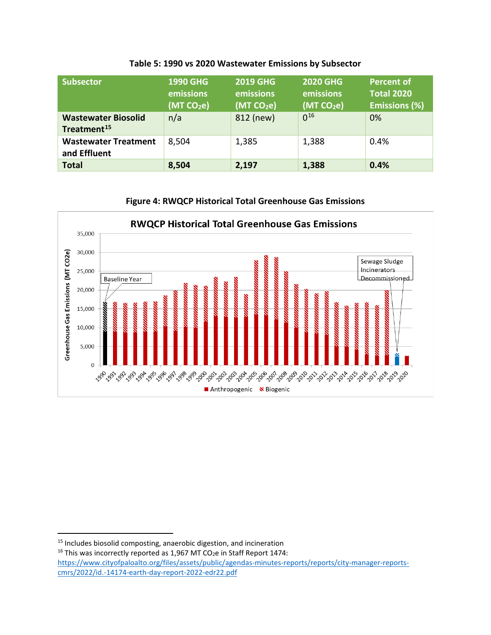<span id="page-10-0"></span>

| <b>Subsector</b>                                      | <b>1990 GHG</b><br>emissions<br>(MT CO <sub>2</sub> e) | <b>2019 GHG</b><br>emissions<br>(MT CO <sub>2</sub> e) | <b>2020 GHG</b><br>emissions<br>(MT CO <sub>2</sub> e) | <b>Percent of</b><br><b>Total 2020</b><br><b>Emissions (%)</b> |
|-------------------------------------------------------|--------------------------------------------------------|--------------------------------------------------------|--------------------------------------------------------|----------------------------------------------------------------|
| <b>Wastewater Biosolid</b><br>Treatment <sup>15</sup> | n/a                                                    | 812 (new)                                              | $0^{16}$                                               | 0%                                                             |
| <b>Wastewater Treatment</b><br>and Effluent           | 8,504                                                  | 1,385                                                  | 1,388                                                  | 0.4%                                                           |
| <b>Total</b>                                          | 8,504                                                  | 2,197                                                  | 1,388                                                  | 0.4%                                                           |

#### **Table 5: 1990 vs 2020 Wastewater Emissions by Subsector**





**RWQCP Historical Total Greenhouse Gas Emissions** 

<span id="page-10-1"></span><sup>&</sup>lt;sup>15</sup> Includes biosolid composting, anaerobic digestion, and incineration

<span id="page-10-2"></span> $16$  This was incorrectly reported as 1,967 MT CO<sub>2</sub>e in Staff Report 1474: [https://www.cityofpaloalto.org/files/assets/public/agendas-minutes-reports/reports/city-manager-reports](https://www.cityofpaloalto.org/files/assets/public/agendas-minutes-reports/reports/city-manager-reports-cmrs/2022/id.-14174-earth-day-report-2022-edr22.pdf)[cmrs/2022/id.-14174-earth-day-report-2022-edr22.pdf](https://www.cityofpaloalto.org/files/assets/public/agendas-minutes-reports/reports/city-manager-reports-cmrs/2022/id.-14174-earth-day-report-2022-edr22.pdf)